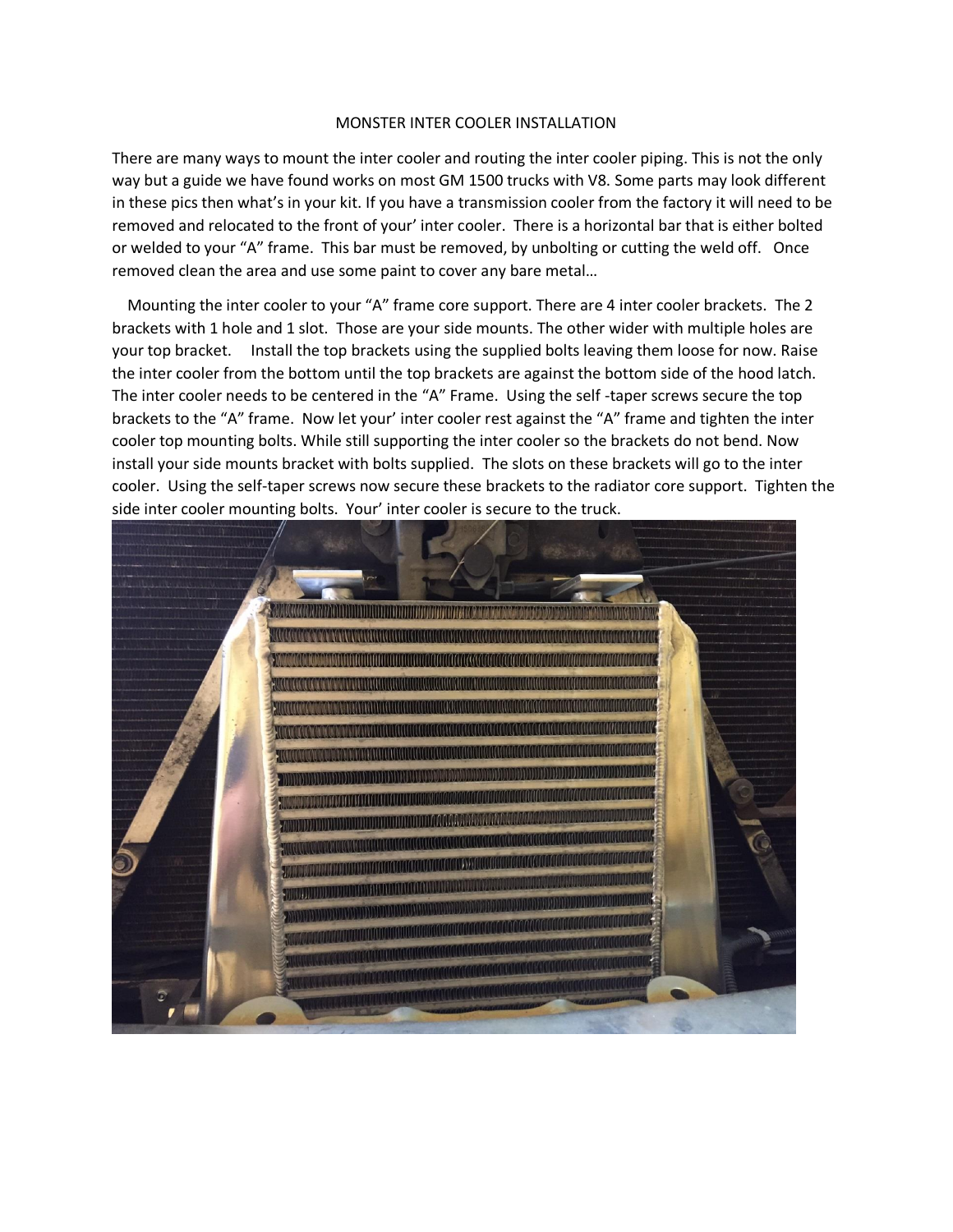## MONSTER INTER COOLER INSTALLATION

There are many ways to mount the inter cooler and routing the inter cooler piping. This is not the only way but a guide we have found works on most GM 1500 trucks with V8. Some parts may look different in these pics then what's in your kit. If you have a transmission cooler from the factory it will need to be removed and relocated to the front of your' inter cooler. There is a horizontal bar that is either bolted or welded to your "A" frame. This bar must be removed, by unbolting or cutting the weld off. Once removed clean the area and use some paint to cover any bare metal…

 Mounting the inter cooler to your "A" frame core support. There are 4 inter cooler brackets. The 2 brackets with 1 hole and 1 slot. Those are your side mounts. The other wider with multiple holes are your top bracket. Install the top brackets using the supplied bolts leaving them loose for now. Raise the inter cooler from the bottom until the top brackets are against the bottom side of the hood latch. The inter cooler needs to be centered in the "A" Frame. Using the self -taper screws secure the top brackets to the "A" frame. Now let your' inter cooler rest against the "A" frame and tighten the inter cooler top mounting bolts. While still supporting the inter cooler so the brackets do not bend. Now install your side mounts bracket with bolts supplied. The slots on these brackets will go to the inter cooler. Using the self-taper screws now secure these brackets to the radiator core support. Tighten the side inter cooler mounting bolts. Your' inter cooler is secure to the truck.

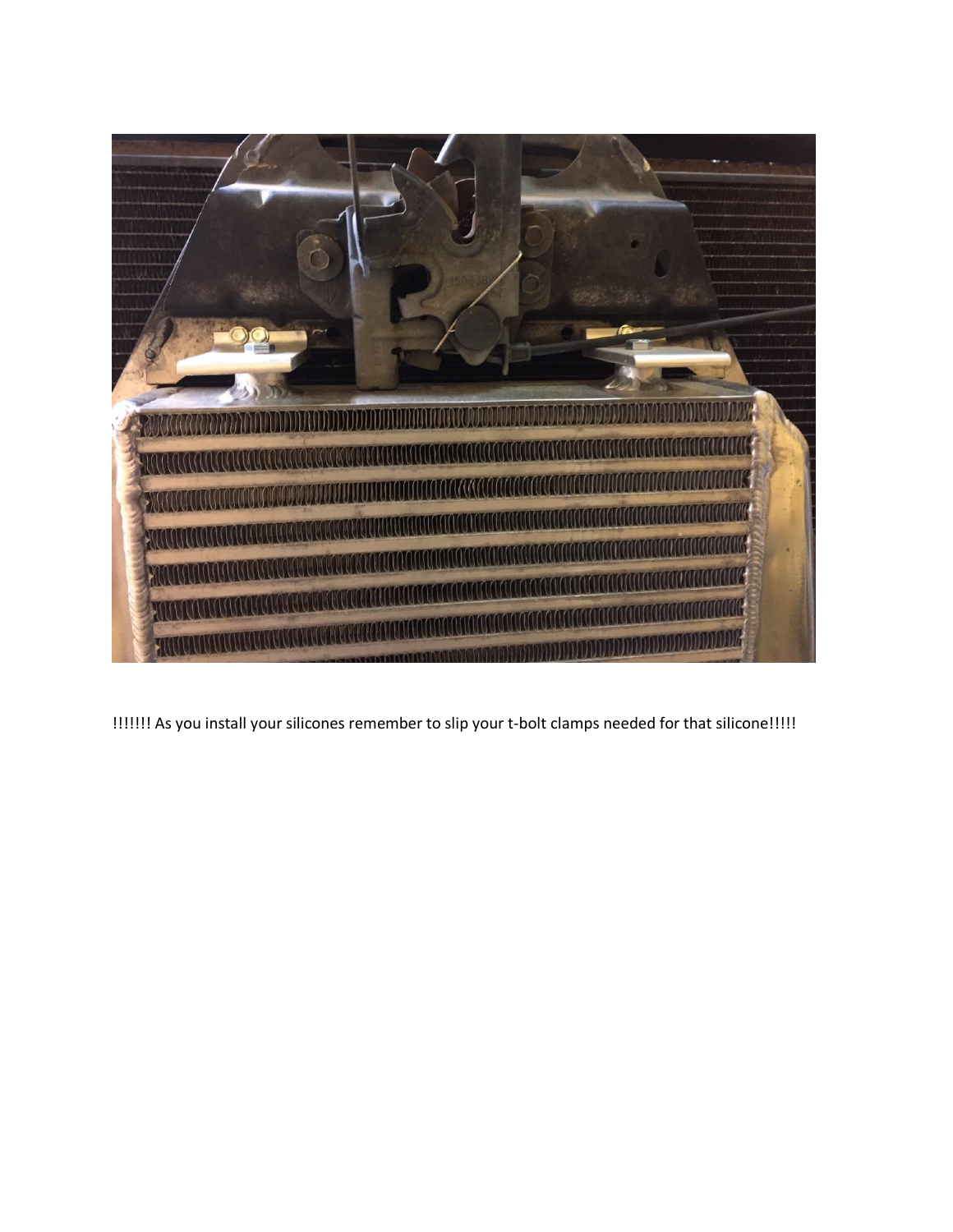

!!!!!!! As you install your silicones remember to slip your t-bolt clamps needed for that silicone!!!!!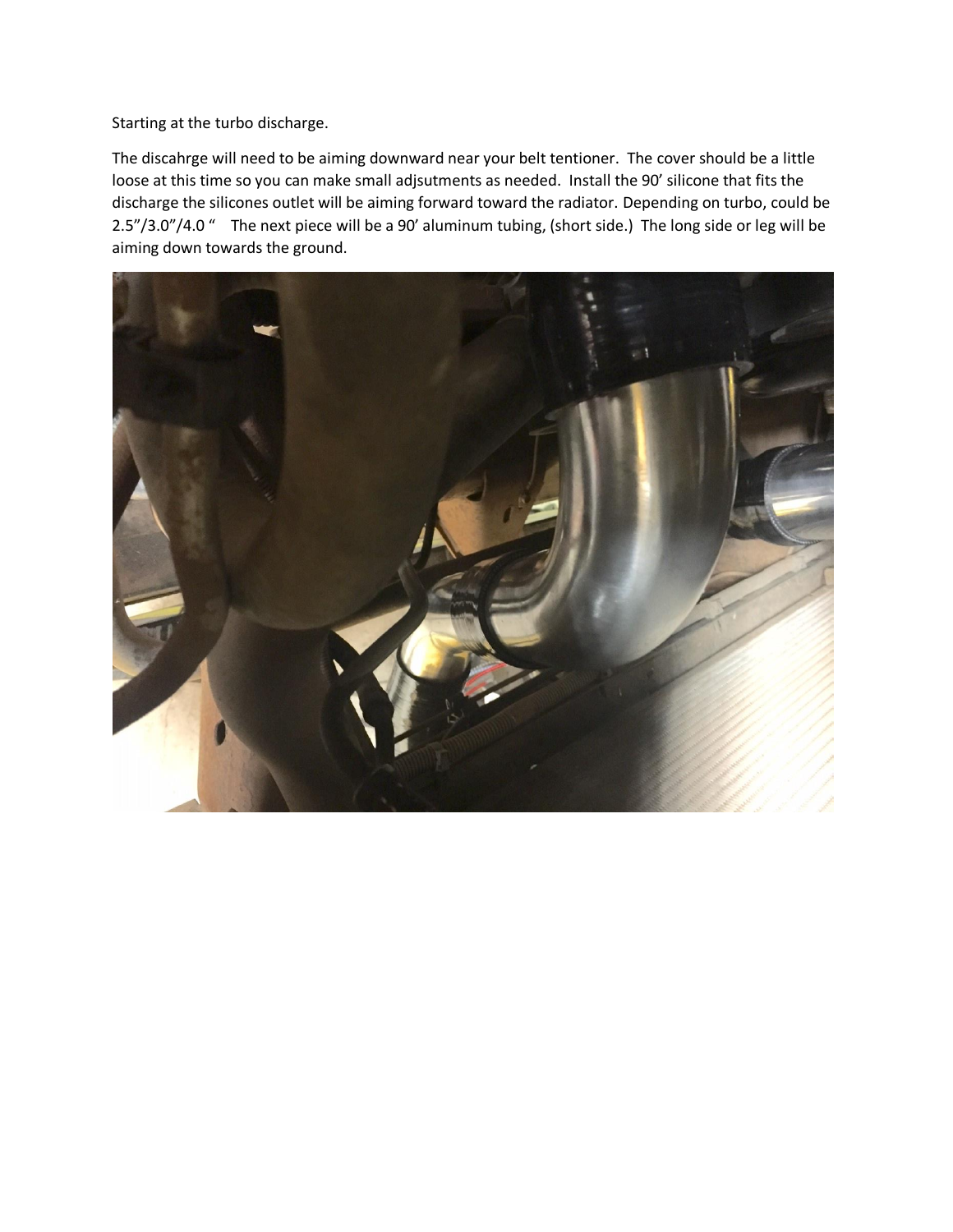Starting at the turbo discharge.

The discahrge will need to be aiming downward near your belt tentioner. The cover should be a little loose at this time so you can make small adjsutments as needed. Install the 90' silicone that fits the discharge the silicones outlet will be aiming forward toward the radiator. Depending on turbo, could be 2.5"/3.0"/4.0 " The next piece will be a 90' aluminum tubing, (short side.) The long side or leg will be aiming down towards the ground.

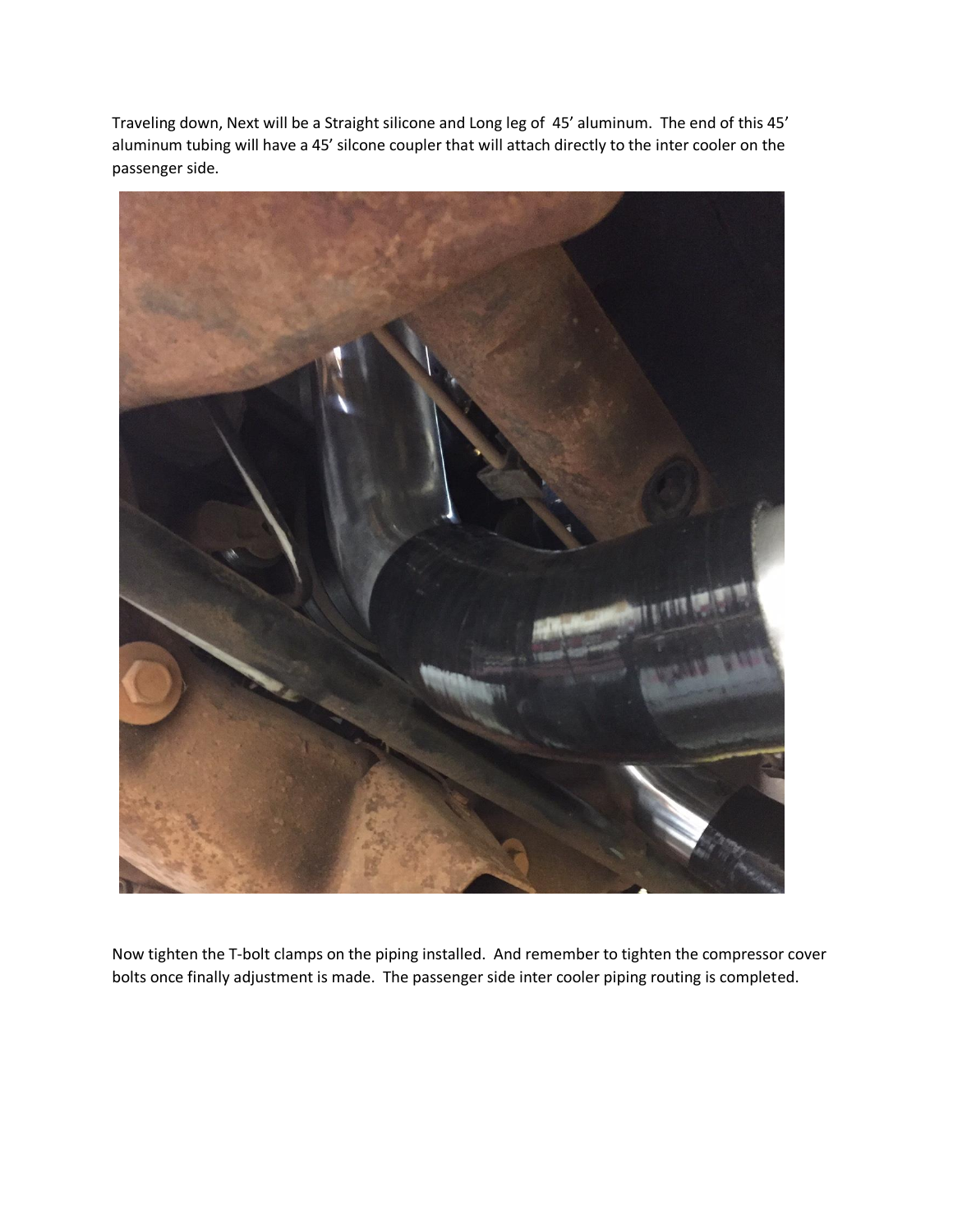Traveling down, Next will be a Straight silicone and Long leg of 45' aluminum. The end of this 45' aluminum tubing will have a 45' silcone coupler that will attach directly to the inter cooler on the passenger side.



Now tighten the T-bolt clamps on the piping installed. And remember to tighten the compressor cover bolts once finally adjustment is made. The passenger side inter cooler piping routing is completed.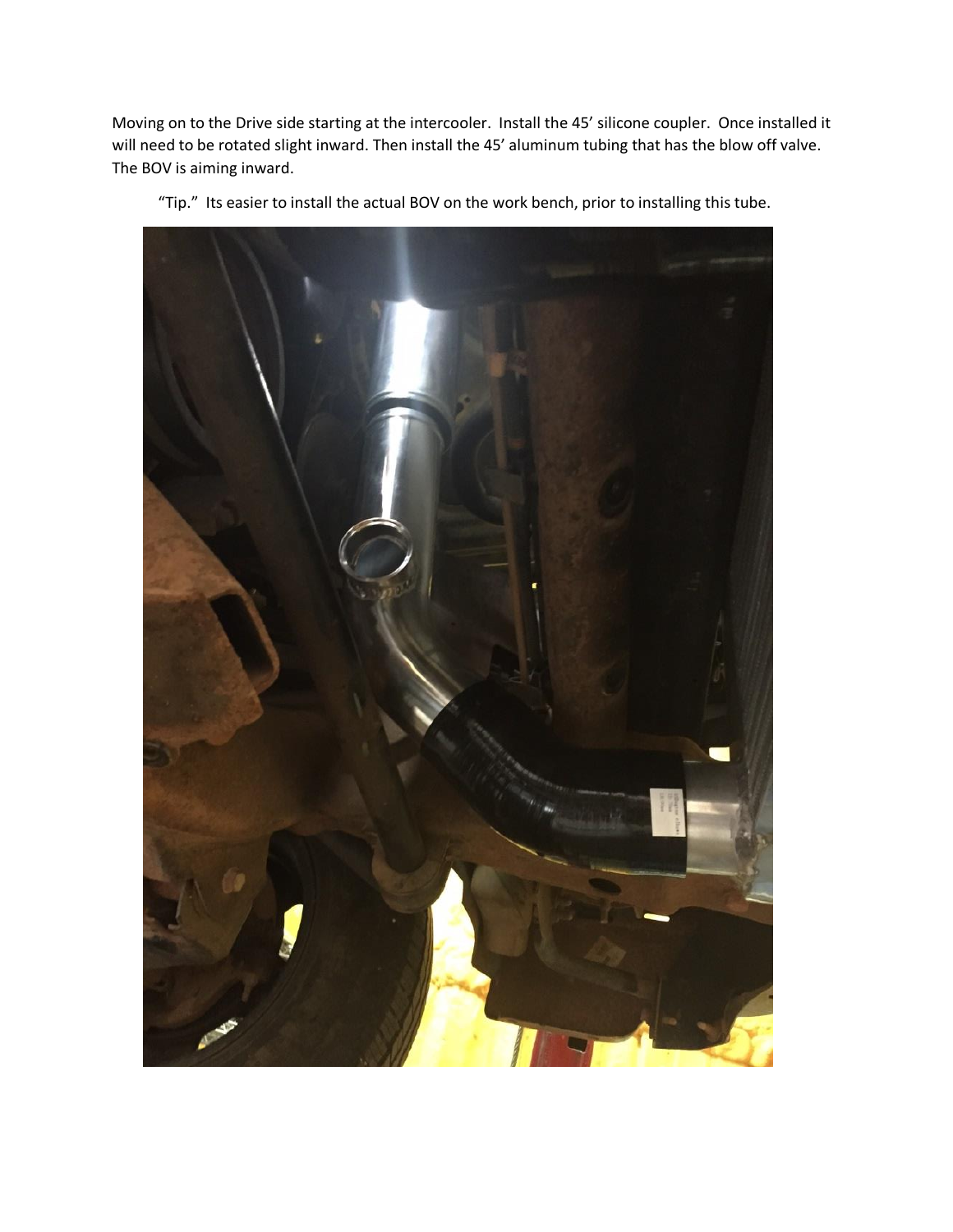Moving on to the Drive side starting at the intercooler. Install the 45' silicone coupler. Once installed it will need to be rotated slight inward. Then install the 45' aluminum tubing that has the blow off valve. The BOV is aiming inward.



"Tip." Its easier to install the actual BOV on the work bench, prior to installing this tube.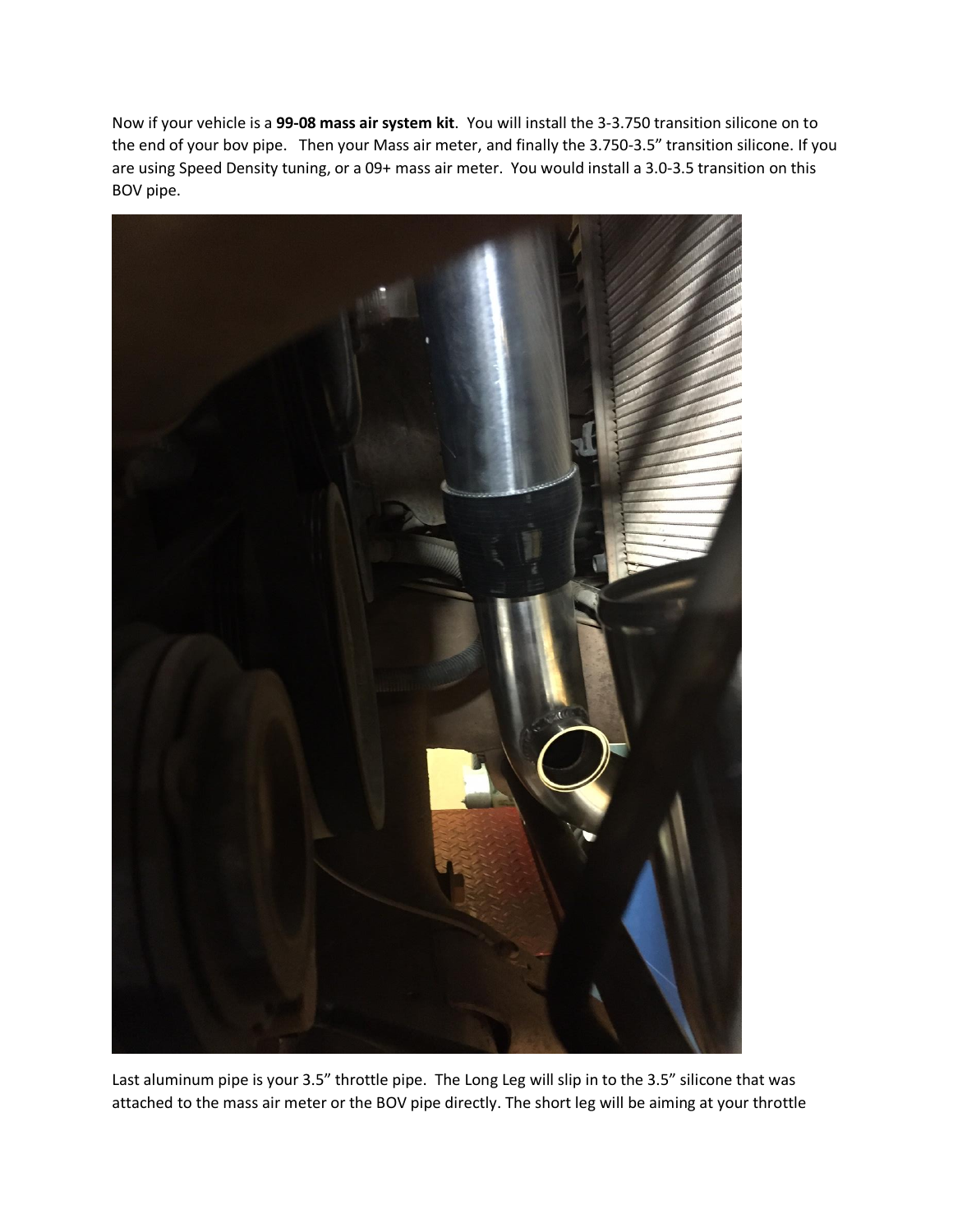Now if your vehicle is a **99-08 mass air system kit**. You will install the 3-3.750 transition silicone on to the end of your bov pipe. Then your Mass air meter, and finally the 3.750-3.5" transition silicone. If you are using Speed Density tuning, or a 09+ mass air meter. You would install a 3.0-3.5 transition on this BOV pipe.



Last aluminum pipe is your 3.5" throttle pipe. The Long Leg will slip in to the 3.5" silicone that was attached to the mass air meter or the BOV pipe directly. The short leg will be aiming at your throttle